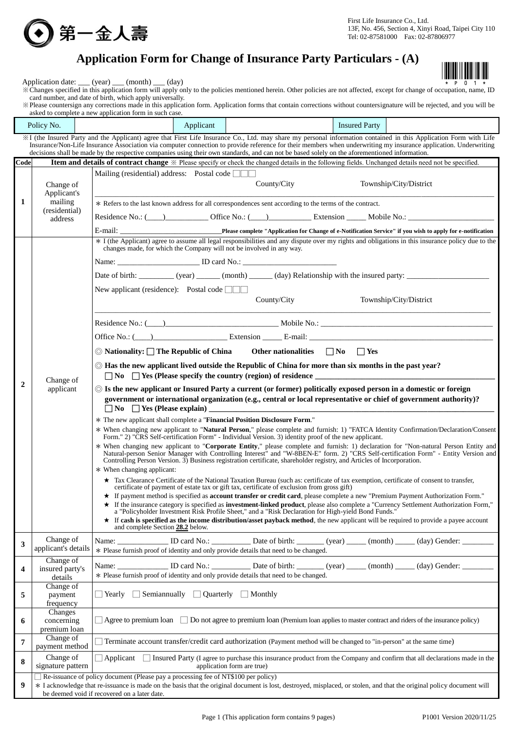

First Life Insurance Co., Ltd. 13F, No. 456, Section 4, Xinyi Road, Taipei City 110 Tel: 02-87581000 Fax: 02-87806977

# **Application Form for Change of Insurance Party Particulars - (A)**



Application date: \_\_\_ (year) \_\_\_ (month) \_\_\_ (day)

\*Changes specified in this application form will apply only to the policies mentioned herein. Other policies are not affected, except for change of occupation, name, ID card number, and date of birth, which apply universally.

※Please countersign any corrections made in this application form. Application forms that contain corrections without countersignature will be rejected, and you will be asked to complete a new application form in such case.

|                         | Policy No.                              | Applicant<br><b>Insured Party</b>                                                                                                                                                                                                                                                                                                                                                                                                              |
|-------------------------|-----------------------------------------|------------------------------------------------------------------------------------------------------------------------------------------------------------------------------------------------------------------------------------------------------------------------------------------------------------------------------------------------------------------------------------------------------------------------------------------------|
|                         |                                         | XI (the Insured Party and the Applicant) agree that First Life Insurance Co., Ltd. may share my personal information contained in this Application Form with Life<br>Insurance/Non-Life Insurance Association via computer connection to provide reference for their members when underwriting my insurance application. Underwriting                                                                                                          |
|                         |                                         | decisions shall be made by the respective companies using their own standards, and can not be based solely on the aforementioned information.                                                                                                                                                                                                                                                                                                  |
| Code                    |                                         | Item and details of contract change $\mathbb X$ Please specify or check the changed details in the following fields. Unchanged details need not be specified.                                                                                                                                                                                                                                                                                  |
|                         | Change of<br>Applicant's                | Mailing (residential) address: Postal code $\Box$<br>County/City<br>Township/City/District                                                                                                                                                                                                                                                                                                                                                     |
| 1                       | mailing                                 | * Refers to the last known address for all correspondences sent according to the terms of the contract.                                                                                                                                                                                                                                                                                                                                        |
|                         | (residential)<br>address                | Residence No.: (Channel Control of Trice No.: (Channel Control Control Control Control Control Control Control Control Control Control Control Control Control Control Control Control Control Control Control Control Control                                                                                                                                                                                                                 |
|                         |                                         |                                                                                                                                                                                                                                                                                                                                                                                                                                                |
|                         |                                         | * I (the Applicant) agree to assume all legal responsibilities and any dispute over my rights and obligations in this insurance policy due to the<br>changes made, for which the Company will not be involved in any way.                                                                                                                                                                                                                      |
|                         |                                         |                                                                                                                                                                                                                                                                                                                                                                                                                                                |
|                         |                                         |                                                                                                                                                                                                                                                                                                                                                                                                                                                |
|                         |                                         | New applicant (residence): Postal code $\Box$<br>County/City<br>Township/City/District                                                                                                                                                                                                                                                                                                                                                         |
|                         |                                         | Residence No.: (10)                                                                                                                                                                                                                                                                                                                                                                                                                            |
|                         |                                         |                                                                                                                                                                                                                                                                                                                                                                                                                                                |
|                         |                                         | $\circledcirc$ Nationality: $\square$ The Republic of China<br>Other nationalities $\Box$ No $\Box$ Yes                                                                                                                                                                                                                                                                                                                                        |
|                         | Change of                               | $\odot$ Has the new applicant lived outside the Republic of China for more than six months in the past year?<br>$\Box$ No $\Box$ Yes (Please specify the country (region) of residence $\Box$                                                                                                                                                                                                                                                  |
| 2                       | applicant                               | $\circledcirc$ Is the new applicant or Insured Party a current (or former) politically exposed person in a domestic or foreign<br>government or international organization (e.g., central or local representative or chief of government authority)?                                                                                                                                                                                           |
|                         |                                         | * The new applicant shall complete a "Financial Position Disclosure Form."<br>* When changing new applicant to "Natural Person," please complete and furnish: 1) "FATCA Identity Confirmation/Declaration/Consent<br>Form." 2) "CRS Self-certification Form" - Individual Version. 3) identity proof of the new applicant.                                                                                                                     |
|                         |                                         | * When changing new applicant to "Corporate Entity," please complete and furnish: 1) declaration for "Non-natural Person Entity and<br>Natural-person Senior Manager with Controlling Interest <sup>h</sup> and "W-8BEN-E" form. 2) "CRS Self-certification Form" - Entity Version and<br>Controlling Person Version. 3) Business registration certificate, shareholder registry, and Articles of Incorporation.<br>* When changing applicant: |
|                         |                                         | ★ Tax Clearance Certificate of the National Taxation Bureau (such as: certificate of tax exemption, certificate of consent to transfer,<br>certificate of payment of estate tax or gift tax, certificate of exclusion from gross gift)<br>* If payment method is specified as account transfer or credit card, please complete a new "Premium Payment Authorization Form."                                                                     |
|                         |                                         | * If the insurance category is specified as <b>investment-linked product</b> , please also complete a "Currency Settlement Authorization Form,"<br>a "Policyholder Investment Risk Profile Sheet," and a "Risk Declaration for High-yield Bond Funds."<br>★ If cash is specified as the income distribution/asset payback method, the new applicant will be required to provide a payee account<br>and complete Section 28.2 below.            |
|                         | Change of                               | Name: __________________ ID card No.: _______________ Date of birth: ________ (year) ______ (month) ______ (day) Gender: _________                                                                                                                                                                                                                                                                                                             |
| 3                       | applicant's details                     | * Please furnish proof of identity and only provide details that need to be changed.                                                                                                                                                                                                                                                                                                                                                           |
| $\overline{\mathbf{4}}$ | Change of<br>insured party's<br>details | * Please furnish proof of identity and only provide details that need to be changed.                                                                                                                                                                                                                                                                                                                                                           |
| 5                       | Change of<br>payment<br>frequency       | $\Box$ Semiannually $\Box$ Quarterly $\Box$ Monthly<br>  Yearly                                                                                                                                                                                                                                                                                                                                                                                |
| 6                       | Changes<br>concerning<br>premium loan   | Agree to premium loan $\Box$ Do not agree to premium loan (Premium loan applies to master contract and riders of the insurance policy)                                                                                                                                                                                                                                                                                                         |
| 7                       | Change of<br>payment method             | Terminate account transfer/credit card authorization (Payment method will be changed to "in-person" at the same time)                                                                                                                                                                                                                                                                                                                          |
| 8                       | Change of<br>signature pattern          | Insured Party (I agree to purchase this insurance product from the Company and confirm that all declarations made in the<br>Applicant<br>application form are true)                                                                                                                                                                                                                                                                            |
| 9                       |                                         | Re-issuance of policy document (Please pay a processing fee of NT\$100 per policy)<br>* I acknowledge that re-issuance is made on the basis that the original document is lost, destroyed, misplaced, or stolen, and that the original policy document will<br>be deemed void if recovered on a later date.                                                                                                                                    |
|                         |                                         |                                                                                                                                                                                                                                                                                                                                                                                                                                                |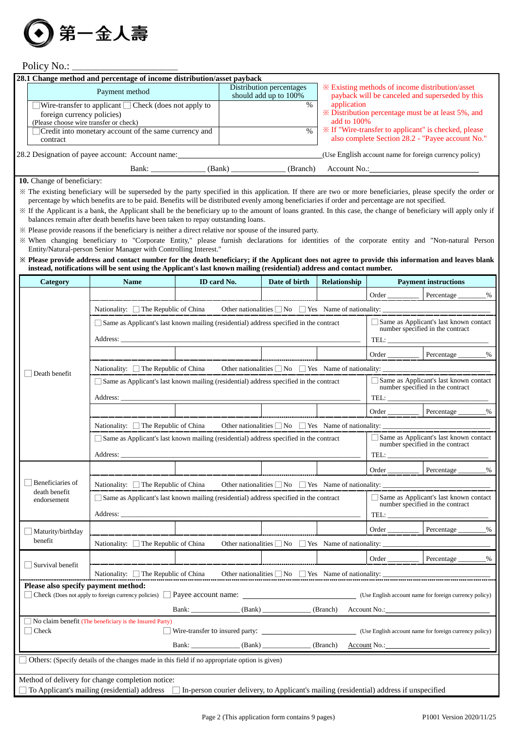

Policy No.:

| 28.1 Change method and percentage of income distribution/asset payback |                                                   |                                                                                                    |  |  |  |  |
|------------------------------------------------------------------------|---------------------------------------------------|----------------------------------------------------------------------------------------------------|--|--|--|--|
| Payment method                                                         | Distribution percentages<br>should add up to 100% | * Existing methods of income distribution/asset<br>payback will be canceled and superseded by this |  |  |  |  |
| Wire-transfer to applicant $\Box$ Check (does not apply to             | $\%$                                              | application                                                                                        |  |  |  |  |
| foreign currency policies)                                             |                                                   | * Distribution percentage must be at least 5%, and                                                 |  |  |  |  |
| (Please choose wire transfer or check)                                 |                                                   | add to $100\%$                                                                                     |  |  |  |  |
| Credit into monetary account of the same currency and                  | $\%$                                              | im ≫ If "Wire-transfer to applicant" is checked, please                                            |  |  |  |  |
| contract                                                               |                                                   | also complete Section 28.2 - "Payee account No."                                                   |  |  |  |  |
| 28.2 Designation of payee account: Account name:                       |                                                   | (Use English account name for foreign currency policy)                                             |  |  |  |  |
| Bank:<br>(Bank)                                                        | (Branch)                                          | Account No.:                                                                                       |  |  |  |  |

### **10.** Change of beneficiary:

※ The existing beneficiary will be superseded by the party specified in this application. If there are two or more beneficiaries, please specify the order or percentage by which benefits are to be paid. Benefits will be distributed evenly among beneficiaries if order and percentage are not specified.

※ If the Applicant is a bank, the Applicant shall be the beneficiary up to the amount of loans granted. In this case, the change of beneficiary will apply only if balances remain after death benefits have been taken to repay outstanding loans.

※ Please provide reasons if the beneficiary is neither a direct relative nor spouse of the insured party.

※ When changing beneficiary to "Corporate Entity," please furnish declarations for identities of the corporate entity and "Non-natural Person Entity/Natural-person Senior Manager with Controlling Interest."

**※ Please provide address and contact number for the death beneficiary; if the Applicant does not agree to provide this information and leaves blank instead, notifications will be sent using the Applicant's last known mailing (residential) address and contact number.**

| <b>Category</b>                     | <b>Name</b>                                                                                                                                                                                                                         | ID card No.                                                                            | Date of birth | Relationship |                                                                                                                                                                       | <b>Payment instructions</b>                                                                                                                                                                                                                                                                                                                                                                                                                                                                                                 |  |
|-------------------------------------|-------------------------------------------------------------------------------------------------------------------------------------------------------------------------------------------------------------------------------------|----------------------------------------------------------------------------------------|---------------|--------------|-----------------------------------------------------------------------------------------------------------------------------------------------------------------------|-----------------------------------------------------------------------------------------------------------------------------------------------------------------------------------------------------------------------------------------------------------------------------------------------------------------------------------------------------------------------------------------------------------------------------------------------------------------------------------------------------------------------------|--|
|                                     |                                                                                                                                                                                                                                     |                                                                                        |               |              |                                                                                                                                                                       | Order Percentage _______ %                                                                                                                                                                                                                                                                                                                                                                                                                                                                                                  |  |
|                                     | Nationality: $\Box$ The Republic of China Other nationalities $\Box$ No $\Box$ Yes Name of nationality:                                                                                                                             |                                                                                        |               |              |                                                                                                                                                                       |                                                                                                                                                                                                                                                                                                                                                                                                                                                                                                                             |  |
|                                     | Same as Applicant's last known mailing (residential) address specified in the contract                                                                                                                                              | Same as Applicant's last known contact<br>number specified in the contract<br>TEL:     |               |              |                                                                                                                                                                       |                                                                                                                                                                                                                                                                                                                                                                                                                                                                                                                             |  |
|                                     |                                                                                                                                                                                                                                     |                                                                                        |               |              |                                                                                                                                                                       | Order Percentage<br>$\%$                                                                                                                                                                                                                                                                                                                                                                                                                                                                                                    |  |
| Death benefit                       |                                                                                                                                                                                                                                     |                                                                                        |               |              |                                                                                                                                                                       |                                                                                                                                                                                                                                                                                                                                                                                                                                                                                                                             |  |
|                                     |                                                                                                                                                                                                                                     | Same as Applicant's last known mailing (residential) address specified in the contract |               |              |                                                                                                                                                                       | Same as Applicant's last known contact<br>number specified in the contract                                                                                                                                                                                                                                                                                                                                                                                                                                                  |  |
|                                     |                                                                                                                                                                                                                                     |                                                                                        |               |              |                                                                                                                                                                       | $\begin{tabular}{ c c c } \hline \multicolumn{3}{ c }{\textbf{TEL:}\hspace{1.5cm}} \multicolumn{3}{ c }{\textbf{\textcolor{blue}{\bf -} \textcolor{blue}{\bf -} \textcolor{blue}{\bf -} \textcolor{blue}{\bf -} \textcolor{blue}{\bf -} \textcolor{blue}{\bf -} \textcolor{blue}{\bf -} \textcolor{blue}{\bf -} \textcolor{blue}{\bf -} \textcolor{blue}{\bf -} \textcolor{blue}{\bf -} \textcolor{blue}{\bf -} \textcolor{blue}{\bf -} \textcolor{blue}{\bf -} \textcolor{blue}{\bf -} \textcolor{blue}{\bf -} \textcolor$ |  |
|                                     |                                                                                                                                                                                                                                     |                                                                                        |               |              |                                                                                                                                                                       | Order Percentage _______%                                                                                                                                                                                                                                                                                                                                                                                                                                                                                                   |  |
|                                     | Nationality: $\Box$ The Republic of China Other nationalities $\Box$ No $\Box$ Yes Name of nationality:                                                                                                                             |                                                                                        |               |              |                                                                                                                                                                       |                                                                                                                                                                                                                                                                                                                                                                                                                                                                                                                             |  |
|                                     |                                                                                                                                                                                                                                     | Same as Applicant's last known mailing (residential) address specified in the contract |               |              |                                                                                                                                                                       | Same as Applicant's last known contact<br>number specified in the contract                                                                                                                                                                                                                                                                                                                                                                                                                                                  |  |
|                                     | Address: <u>Address</u> and the contract of the contract of the contract of the contract of the contract of the contract of the contract of the contract of the contract of the contract of the contract of the contract of the con |                                                                                        |               |              |                                                                                                                                                                       |                                                                                                                                                                                                                                                                                                                                                                                                                                                                                                                             |  |
|                                     |                                                                                                                                                                                                                                     |                                                                                        |               |              |                                                                                                                                                                       | Order ________ Percentage ______<br>$\%$                                                                                                                                                                                                                                                                                                                                                                                                                                                                                    |  |
| Beneficiaries of                    | Nationality: $\Box$ The Republic of China Other nationalities $\Box$ No $\Box$ Yes Name of nationality:                                                                                                                             |                                                                                        |               |              |                                                                                                                                                                       |                                                                                                                                                                                                                                                                                                                                                                                                                                                                                                                             |  |
| death benefit<br>endorsement        | Address:                                                                                                                                                                                                                            | Same as Applicant's last known mailing (residential) address specified in the contract |               |              | $\begin{tabular}{c} TEL: \begin{tabular}{@{}c@{}} \quad \quad & \quad \quad & \quad \quad \\ \quad & \quad \quad & \quad \quad \\ \hline \end{tabular} \end{tabular}$ | Same as Applicant's last known contact<br>number specified in the contract                                                                                                                                                                                                                                                                                                                                                                                                                                                  |  |
| Maturity/birthday                   |                                                                                                                                                                                                                                     |                                                                                        |               |              |                                                                                                                                                                       | Order _______________ Percentage _________%                                                                                                                                                                                                                                                                                                                                                                                                                                                                                 |  |
| benefit                             | Nationality: $\Box$ The Republic of China                                                                                                                                                                                           |                                                                                        |               |              |                                                                                                                                                                       |                                                                                                                                                                                                                                                                                                                                                                                                                                                                                                                             |  |
|                                     |                                                                                                                                                                                                                                     |                                                                                        |               |              | $Order$ $\qquad$                                                                                                                                                      | Percentage<br>$\%$                                                                                                                                                                                                                                                                                                                                                                                                                                                                                                          |  |
| $\Box$ Survival benefit             |                                                                                                                                                                                                                                     |                                                                                        |               |              |                                                                                                                                                                       |                                                                                                                                                                                                                                                                                                                                                                                                                                                                                                                             |  |
| Please also specify payment method: | Nationality: $\Box$ The Republic of China Other nationalities $\Box$ No $\Box$ Yes Name of nationality:                                                                                                                             |                                                                                        |               |              |                                                                                                                                                                       |                                                                                                                                                                                                                                                                                                                                                                                                                                                                                                                             |  |
|                                     | □ Check (Does not apply to foreign currency policies) □ Payee account name: (Use English account name for foreign currency policy)                                                                                                  |                                                                                        |               |              |                                                                                                                                                                       |                                                                                                                                                                                                                                                                                                                                                                                                                                                                                                                             |  |
|                                     |                                                                                                                                                                                                                                     |                                                                                        |               |              |                                                                                                                                                                       |                                                                                                                                                                                                                                                                                                                                                                                                                                                                                                                             |  |
|                                     | $\Box$ No claim benefit (The beneficiary is the Insured Party)                                                                                                                                                                      |                                                                                        |               |              |                                                                                                                                                                       |                                                                                                                                                                                                                                                                                                                                                                                                                                                                                                                             |  |
| $\vert$ Check                       |                                                                                                                                                                                                                                     | Wire-transfer to insured party: (Use English account name for foreign currency policy) |               |              |                                                                                                                                                                       |                                                                                                                                                                                                                                                                                                                                                                                                                                                                                                                             |  |
|                                     |                                                                                                                                                                                                                                     | Bank: (Bank) (Bank) (Branch) Account No.:                                              |               |              |                                                                                                                                                                       |                                                                                                                                                                                                                                                                                                                                                                                                                                                                                                                             |  |
|                                     | Others: (Specify details of the changes made in this field if no appropriate option is given)                                                                                                                                       |                                                                                        |               |              |                                                                                                                                                                       |                                                                                                                                                                                                                                                                                                                                                                                                                                                                                                                             |  |
|                                     | Method of delivery for change completion notice:                                                                                                                                                                                    |                                                                                        |               |              |                                                                                                                                                                       |                                                                                                                                                                                                                                                                                                                                                                                                                                                                                                                             |  |
|                                     | To Applicant's mailing (residential) address  LIn-person courier delivery, to Applicant's mailing (residential) address if unspecified                                                                                              |                                                                                        |               |              |                                                                                                                                                                       |                                                                                                                                                                                                                                                                                                                                                                                                                                                                                                                             |  |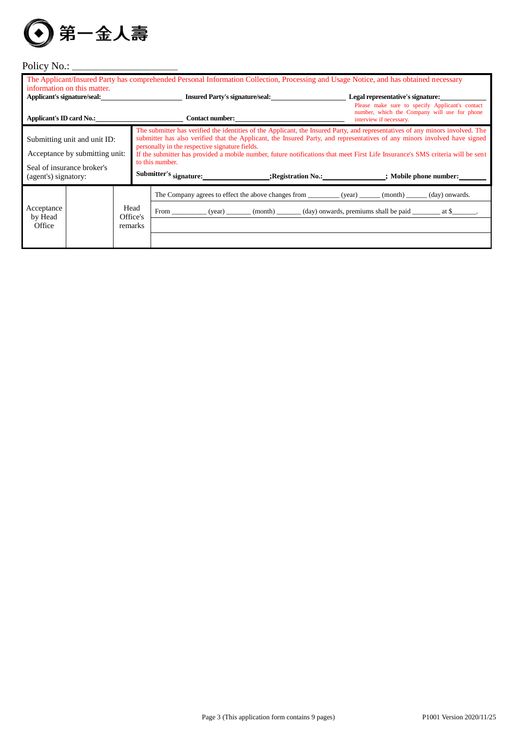

# Policy No.: \_\_\_\_\_\_\_\_\_\_\_\_\_\_\_\_\_\_\_\_\_\_\_\_\_\_\_

|                                                                                                                      | information on this matter. |                             | The Applicant/Insured Party has comprehended Personal Information Collection, Processing and Usage Notice, and has obtained necessary                                                                                                                                                                                                                                                                                                                                                                                                                                               |                                                                                                                            |
|----------------------------------------------------------------------------------------------------------------------|-----------------------------|-----------------------------|-------------------------------------------------------------------------------------------------------------------------------------------------------------------------------------------------------------------------------------------------------------------------------------------------------------------------------------------------------------------------------------------------------------------------------------------------------------------------------------------------------------------------------------------------------------------------------------|----------------------------------------------------------------------------------------------------------------------------|
|                                                                                                                      |                             |                             | Applicant's signature/seal: Insured Party's signature/seal: 1999 [19] Insured Party's signature/seal:                                                                                                                                                                                                                                                                                                                                                                                                                                                                               | Legal representative's signature:                                                                                          |
|                                                                                                                      |                             |                             | Applicant's ID card No.: Contact number:                                                                                                                                                                                                                                                                                                                                                                                                                                                                                                                                            | Please make sure to specify Applicant's contact<br>number, which the Company will use for phone<br>interview if necessary. |
| Submitting unit and unit ID:<br>Acceptance by submitting unit:<br>Seal of insurance broker's<br>(agent's) signatory: |                             |                             | The submitter has verified the identities of the Applicant, the Insured Party, and representatives of any minors involved. The<br>submitter has also verified that the Applicant, the Insured Party, and representatives of any minors involved have signed<br>personally in the respective signature fields.<br>If the submitter has provided a mobile number, future notifications that meet First Life Insurance's SMS criteria will be sent<br>to this number.<br>Submitter's signature: _____________________;Registration No.: _______________; Mobile phone number: ________ |                                                                                                                            |
| Acceptance<br>by Head<br>Office                                                                                      |                             | Head<br>Office's<br>remarks | The Company agrees to effect the above changes from __________ (year) _______ (month) ______ (day) onwards.<br>From ____________ (year) ________ (month) _______ (day) onwards, premiums shall be paid ___________ at \$_______.                                                                                                                                                                                                                                                                                                                                                    |                                                                                                                            |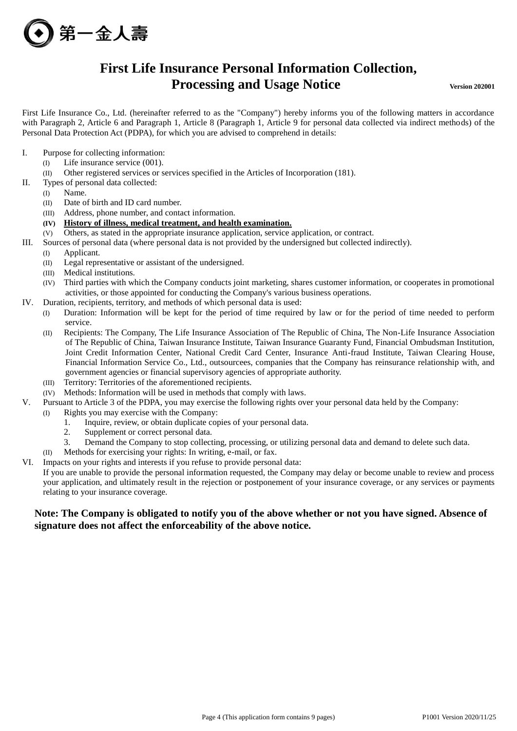

# **First Life Insurance Personal Information Collection, Processing and Usage Notice Version 202001**

First Life Insurance Co., Ltd. (hereinafter referred to as the "Company") hereby informs you of the following matters in accordance with Paragraph 2, Article 6 and Paragraph 1, Article 8 (Paragraph 1, Article 9 for personal data collected via indirect methods) of the Personal Data Protection Act (PDPA), for which you are advised to comprehend in details:

- I. Purpose for collecting information:
	- (I) Life insurance service (001).
	- (II) Other registered services or services specified in the Articles of Incorporation (181).
- II. Types of personal data collected:
	- (I) Name.
	- (II) Date of birth and ID card number.
	- (III) Address, phone number, and contact information.
	- **(IV) History of illness, medical treatment, and health examination.**
	- (V) Others, as stated in the appropriate insurance application, service application, or contract.
- III. Sources of personal data (where personal data is not provided by the undersigned but collected indirectly).
	- (I) Applicant.
		- (II) Legal representative or assistant of the undersigned.
		- (III) Medical institutions.
		- (IV) Third parties with which the Company conducts joint marketing, shares customer information, or cooperates in promotional activities, or those appointed for conducting the Company's various business operations.
- IV. Duration, recipients, territory, and methods of which personal data is used:
	- (I) Duration: Information will be kept for the period of time required by law or for the period of time needed to perform service.
		- (II) Recipients: The Company, The Life Insurance Association of The Republic of China, The Non-Life Insurance Association of The Republic of China, Taiwan Insurance Institute, Taiwan Insurance Guaranty Fund, Financial Ombudsman Institution, Joint Credit Information Center, National Credit Card Center, Insurance Anti-fraud Institute, Taiwan Clearing House, Financial Information Service Co., Ltd., outsourcees, companies that the Company has reinsurance relationship with, and government agencies or financial supervisory agencies of appropriate authority.
		- (III) Territory: Territories of the aforementioned recipients.
	- (IV) Methods: Information will be used in methods that comply with laws.
- V. Pursuant to Article 3 of the PDPA, you may exercise the following rights over your personal data held by the Company:
	- (I) Rights you may exercise with the Company:
		- 1. Inquire, review, or obtain duplicate copies of your personal data.
		- 2. Supplement or correct personal data.
		- 3. Demand the Company to stop collecting, processing, or utilizing personal data and demand to delete such data.
- Methods for exercising your rights: In writing, e-mail, or fax.
- VI. Impacts on your rights and interests if you refuse to provide personal data:

If you are unable to provide the personal information requested, the Company may delay or become unable to review and process your application, and ultimately result in the rejection or postponement of your insurance coverage, or any services or payments relating to your insurance coverage.

## **Note: The Company is obligated to notify you of the above whether or not you have signed. Absence of signature does not affect the enforceability of the above notice.**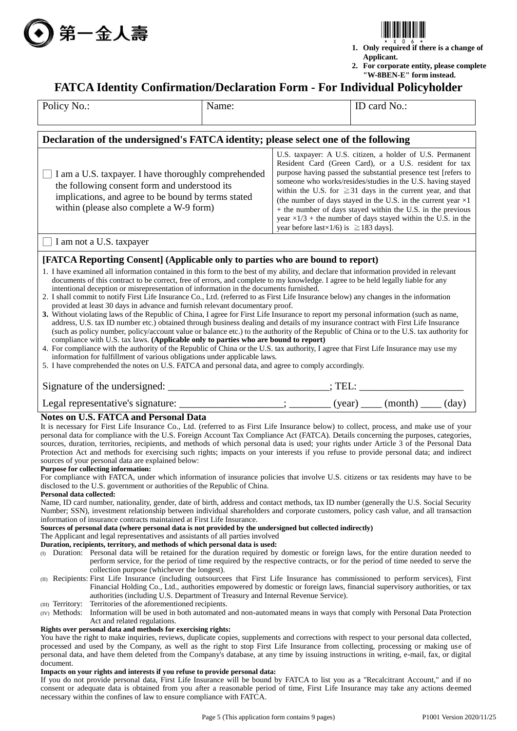



- **1. Only required if there is a change of Applicant.**
- **2. For corporate entity, please complete "W-8BEN-E" form instead.**

## **FATCA Identity Confirmation/Declaration Form - For Individual Policyholder**

| Policy No.:                                                                                                                                                                                                                                                                                                                                                                                                                                                                                                                                                                                                                                                                                                                                                                                                                                                                                                                                                                                                                                                                                                                                                                                                                                                                                                                                                                                                                                                                                                                                                                                                                            | Name: |                                                    | ID card No.:                                                                                                                                                                                                                                                                                                                                                                                                                                                                                                                             |  |  |  |  |  |
|----------------------------------------------------------------------------------------------------------------------------------------------------------------------------------------------------------------------------------------------------------------------------------------------------------------------------------------------------------------------------------------------------------------------------------------------------------------------------------------------------------------------------------------------------------------------------------------------------------------------------------------------------------------------------------------------------------------------------------------------------------------------------------------------------------------------------------------------------------------------------------------------------------------------------------------------------------------------------------------------------------------------------------------------------------------------------------------------------------------------------------------------------------------------------------------------------------------------------------------------------------------------------------------------------------------------------------------------------------------------------------------------------------------------------------------------------------------------------------------------------------------------------------------------------------------------------------------------------------------------------------------|-------|----------------------------------------------------|------------------------------------------------------------------------------------------------------------------------------------------------------------------------------------------------------------------------------------------------------------------------------------------------------------------------------------------------------------------------------------------------------------------------------------------------------------------------------------------------------------------------------------------|--|--|--|--|--|
|                                                                                                                                                                                                                                                                                                                                                                                                                                                                                                                                                                                                                                                                                                                                                                                                                                                                                                                                                                                                                                                                                                                                                                                                                                                                                                                                                                                                                                                                                                                                                                                                                                        |       |                                                    |                                                                                                                                                                                                                                                                                                                                                                                                                                                                                                                                          |  |  |  |  |  |
| Declaration of the undersigned's FATCA identity; please select one of the following                                                                                                                                                                                                                                                                                                                                                                                                                                                                                                                                                                                                                                                                                                                                                                                                                                                                                                                                                                                                                                                                                                                                                                                                                                                                                                                                                                                                                                                                                                                                                    |       |                                                    |                                                                                                                                                                                                                                                                                                                                                                                                                                                                                                                                          |  |  |  |  |  |
| I am a U.S. taxpayer. I have thoroughly comprehended<br>the following consent form and understood its<br>implications, and agree to be bound by terms stated<br>within (please also complete a W-9 form)                                                                                                                                                                                                                                                                                                                                                                                                                                                                                                                                                                                                                                                                                                                                                                                                                                                                                                                                                                                                                                                                                                                                                                                                                                                                                                                                                                                                                               |       | year before last $\times$ 1/6) is $\ge$ 183 days]. | U.S. taxpayer: A U.S. citizen, a holder of U.S. Permanent<br>Resident Card (Green Card), or a U.S. resident for tax<br>purpose having passed the substantial presence test [refers to<br>someone who works/resides/studies in the U.S. having stayed<br>within the U.S. for $\geq 31$ days in the current year, and that<br>(the number of days stayed in the U.S. in the current year $\times 1$<br>+ the number of days stayed within the U.S. in the previous<br>year $\times$ 1/3 + the number of days stayed within the U.S. in the |  |  |  |  |  |
| I am not a U.S. taxpayer                                                                                                                                                                                                                                                                                                                                                                                                                                                                                                                                                                                                                                                                                                                                                                                                                                                                                                                                                                                                                                                                                                                                                                                                                                                                                                                                                                                                                                                                                                                                                                                                               |       |                                                    |                                                                                                                                                                                                                                                                                                                                                                                                                                                                                                                                          |  |  |  |  |  |
| [FATCA Reporting Consent] (Applicable only to parties who are bound to report)<br>1. I have examined all information contained in this form to the best of my ability, and declare that information provided in relevant<br>documents of this contract to be correct, free of errors, and complete to my knowledge. I agree to be held legally liable for any<br>intentional deception or misrepresentation of information in the documents furnished.<br>2. I shall commit to notify First Life Insurance Co., Ltd. (referred to as First Life Insurance below) any changes in the information<br>provided at least 30 days in advance and furnish relevant documentary proof.<br>3. Without violating laws of the Republic of China, I agree for First Life Insurance to report my personal information (such as name,<br>address, U.S. tax ID number etc.) obtained through business dealing and details of my insurance contract with First Life Insurance<br>(such as policy number, policy/account value or balance etc.) to the authority of the Republic of China or to the U.S. tax authority for<br>compliance with U.S. tax laws. (Applicable only to parties who are bound to report)<br>4. For compliance with the authority of the Republic of China or the U.S. tax authority, I agree that First Life Insurance may use my<br>information for fulfillment of various obligations under applicable laws.<br>5. I have comprehended the notes on U.S. FATCA and personal data, and agree to comply accordingly.                                                                                                          |       |                                                    |                                                                                                                                                                                                                                                                                                                                                                                                                                                                                                                                          |  |  |  |  |  |
| Signature of the undersigned: _________________________________; TEL: ___________                                                                                                                                                                                                                                                                                                                                                                                                                                                                                                                                                                                                                                                                                                                                                                                                                                                                                                                                                                                                                                                                                                                                                                                                                                                                                                                                                                                                                                                                                                                                                      |       |                                                    |                                                                                                                                                                                                                                                                                                                                                                                                                                                                                                                                          |  |  |  |  |  |
|                                                                                                                                                                                                                                                                                                                                                                                                                                                                                                                                                                                                                                                                                                                                                                                                                                                                                                                                                                                                                                                                                                                                                                                                                                                                                                                                                                                                                                                                                                                                                                                                                                        |       |                                                    |                                                                                                                                                                                                                                                                                                                                                                                                                                                                                                                                          |  |  |  |  |  |
| Legal representative's signature: _______________________; __________ (year) _____ (month) _____ (day)<br><b>Notes on U.S. FATCA and Personal Data</b><br>It is necessary for First Life Insurance Co., Ltd. (referred to as First Life Insurance below) to collect, process, and make use of your<br>personal data for compliance with the U.S. Foreign Account Tax Compliance Act (FATCA). Details concerning the purposes, categories,<br>sources, duration, territories, recipients, and methods of which personal data is used; your rights under Article 3 of the Personal Data<br>Protection Act and methods for exercising such rights; impacts on your interests if you refuse to provide personal data; and indirect<br>sources of your personal data are explained below:<br>Purpose for collecting information:<br>For compliance with FATCA, under which information of insurance policies that involve U.S. citizens or tax residents may have to be<br>disclosed to the U.S. government or authorities of the Republic of China.<br>Personal data collected:                                                                                                                                                                                                                                                                                                                                                                                                                                                                                                                                                            |       |                                                    |                                                                                                                                                                                                                                                                                                                                                                                                                                                                                                                                          |  |  |  |  |  |
| Name, ID card number, nationality, gender, date of birth, address and contact methods, tax ID number (generally the U.S. Social Security<br>Number; SSN), investment relationship between individual shareholders and corporate customers, policy cash value, and all transaction<br>information of insurance contracts maintained at First Life Insurance.<br>Sources of personal data (where personal data is not provided by the undersigned but collected indirectly)<br>The Applicant and legal representatives and assistants of all parties involved<br>Duration, recipients, territory, and methods of which personal data is used:<br>(I) Duration: Personal data will be retained for the duration required by domestic or foreign laws, for the entire duration needed to<br>perform service, for the period of time required by the respective contracts, or for the period of time needed to serve the<br>collection purpose (whichever the longest).<br>(II) Recipients: First Life Insurance (including outsourcees that First Life Insurance has commissioned to perform services), First<br>Financial Holding Co., Ltd., authorities empowered by domestic or foreign laws, financial supervisory authorities, or tax<br>authorities (including U.S. Department of Treasury and Internal Revenue Service).<br>Territories of the aforementioned recipients.<br>(III) Territory:<br>(IV) Methods: Information will be used in both automated and non-automated means in ways that comply with Personal Data Protection<br>Act and related regulations.<br>Rights over personal data and methods for exercising rights: |       |                                                    |                                                                                                                                                                                                                                                                                                                                                                                                                                                                                                                                          |  |  |  |  |  |
| You have the right to make inquiries, reviews, duplicate copies, supplements and corrections with respect to your personal data collected,<br>processed and used by the Company, as well as the right to stop First Life Insurance from collecting, processing or making use of<br>personal data, and have them deleted from the Company's database, at any time by issuing instructions in writing, e-mail, fax, or digital<br>document.<br>Impacts on your rights and interests if you refuse to provide personal data:                                                                                                                                                                                                                                                                                                                                                                                                                                                                                                                                                                                                                                                                                                                                                                                                                                                                                                                                                                                                                                                                                                              |       |                                                    |                                                                                                                                                                                                                                                                                                                                                                                                                                                                                                                                          |  |  |  |  |  |

If you do not provide personal data, First Life Insurance will be bound by FATCA to list you as a "Recalcitrant Account," and if no consent or adequate data is obtained from you after a reasonable period of time, First Life Insurance may take any actions deemed necessary within the confines of law to ensure compliance with FATCA.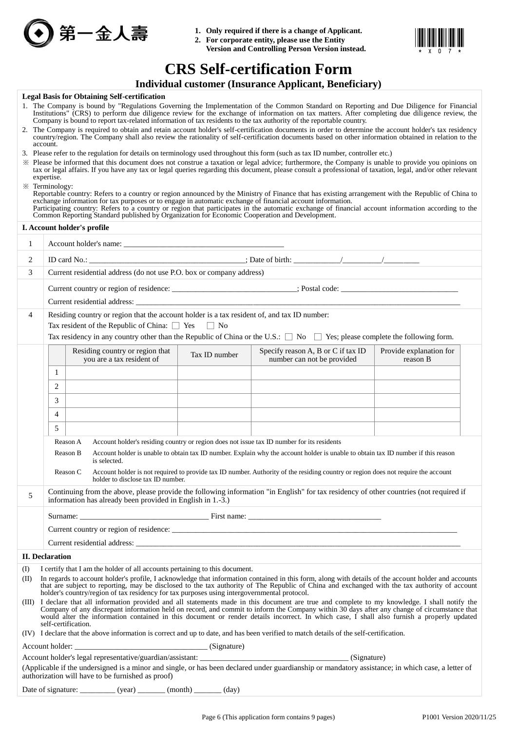

- **1. Only required if there is a change of Applicant.**
- **2. For corporate entity, please use the Entity Version and Controlling Person Version instead.**



# **CRS Self-certification Form**

## **Individual customer (Insurance Applicant, Beneficiary)**

#### **Legal Basis for Obtaining Self-certification**

- 1. The Company is bound by "Regulations Governing the Implementation of the Common Standard on Reporting and Due Diligence for Financial Institutions" (CRS) to perform due diligence review for the exchange of information on tax matters. After completing due diligence review, the Company is bound to report tax-related information of tax residents to the tax authority of the reportable country.
- 2. The Company is required to obtain and retain account holder's self-certification documents in order to determine the account holder's tax residency country/region. The Company shall also review the rationality of self-certification documents based on other information obtained in relation to the account.
- 3. Please refer to the regulation for details on terminology used throughout this form (such as tax ID number, controller etc.)
- ※ Please be informed that this document does not construe a taxation or legal advice; furthermore, the Company is unable to provide you opinions on tax or legal affairs. If you have any tax or legal queries regarding this document, please consult a professional of taxation, legal, and/or other relevant expertise.

|              | 並人詩<br>旡                                                                                                                                                                                                                                                                                                                                                                                                                                                                                                                                                                                                                                                                                                                                                                                                                                                                      |               | Only required if there is a change of hyphetant.<br>2. For corporate entity, please use the Entity<br>Version and Controlling Person Version instead.                                                                           |                                     |  |  |  |  |
|--------------|-------------------------------------------------------------------------------------------------------------------------------------------------------------------------------------------------------------------------------------------------------------------------------------------------------------------------------------------------------------------------------------------------------------------------------------------------------------------------------------------------------------------------------------------------------------------------------------------------------------------------------------------------------------------------------------------------------------------------------------------------------------------------------------------------------------------------------------------------------------------------------|---------------|---------------------------------------------------------------------------------------------------------------------------------------------------------------------------------------------------------------------------------|-------------------------------------|--|--|--|--|
|              |                                                                                                                                                                                                                                                                                                                                                                                                                                                                                                                                                                                                                                                                                                                                                                                                                                                                               |               | <b>CRS Self-certification Form</b>                                                                                                                                                                                              |                                     |  |  |  |  |
|              |                                                                                                                                                                                                                                                                                                                                                                                                                                                                                                                                                                                                                                                                                                                                                                                                                                                                               |               | <b>Individual customer (Insurance Applicant, Beneficiary)</b>                                                                                                                                                                   |                                     |  |  |  |  |
|              | <b>Legal Basis for Obtaining Self-certification</b>                                                                                                                                                                                                                                                                                                                                                                                                                                                                                                                                                                                                                                                                                                                                                                                                                           |               |                                                                                                                                                                                                                                 |                                     |  |  |  |  |
|              | 1. The Company is bound by "Regulations Governing the Implementation of the Common Standard on Reporting and Due Diligence for Financial<br>Institutions" (CRS) to perform due diligence review for the exchange of information on tax matters. After completing due diligence review, the<br>Company is bound to report tax-related information of tax residents to the tax authority of the reportable country.                                                                                                                                                                                                                                                                                                                                                                                                                                                             |               |                                                                                                                                                                                                                                 |                                     |  |  |  |  |
|              | 2. The Company is required to obtain and retain account holder's self-certification documents in order to determine the account holder's tax residency<br>country/region. The Company shall also review the rationality of self-certification documents based on other information obtained in relation to the<br>account.                                                                                                                                                                                                                                                                                                                                                                                                                                                                                                                                                    |               |                                                                                                                                                                                                                                 |                                     |  |  |  |  |
|              | 3. Please refer to the regulation for details on terminology used throughout this form (such as tax ID number, controller etc.)<br>» Please be informed that this document does not construe a taxation or legal advice; furthermore, the Company is unable to provide you opinions on<br>tax or legal affairs. If you have any tax or legal queries regarding this document, please consult a professional of taxation, legal, and/or other relevant<br>expertise.<br>※ Terminology:<br>Reportable country: Refers to a country or region announced by the Ministry of Finance that has existing arrangement with the Republic of China to exchange information for tax purposes or to engage in automatic exchange of<br>Participating country: Refers to a country or region that participates in the automatic exchange of financial account information according to the |               |                                                                                                                                                                                                                                 |                                     |  |  |  |  |
|              | Common Reporting Standard published by Organization for Economic Cooperation and Development.<br>I. Account holder's profile                                                                                                                                                                                                                                                                                                                                                                                                                                                                                                                                                                                                                                                                                                                                                  |               | the control of the control of the control of the control of the control of the control of                                                                                                                                       |                                     |  |  |  |  |
| $\mathbf{1}$ |                                                                                                                                                                                                                                                                                                                                                                                                                                                                                                                                                                                                                                                                                                                                                                                                                                                                               |               |                                                                                                                                                                                                                                 |                                     |  |  |  |  |
|              |                                                                                                                                                                                                                                                                                                                                                                                                                                                                                                                                                                                                                                                                                                                                                                                                                                                                               |               |                                                                                                                                                                                                                                 |                                     |  |  |  |  |
| 2            |                                                                                                                                                                                                                                                                                                                                                                                                                                                                                                                                                                                                                                                                                                                                                                                                                                                                               |               |                                                                                                                                                                                                                                 |                                     |  |  |  |  |
| 3            | Current residential address (do not use P.O. box or company address)                                                                                                                                                                                                                                                                                                                                                                                                                                                                                                                                                                                                                                                                                                                                                                                                          |               |                                                                                                                                                                                                                                 |                                     |  |  |  |  |
|              |                                                                                                                                                                                                                                                                                                                                                                                                                                                                                                                                                                                                                                                                                                                                                                                                                                                                               |               |                                                                                                                                                                                                                                 |                                     |  |  |  |  |
| 4            | Residing country or region that the account holder is a tax resident of, and tax ID number:                                                                                                                                                                                                                                                                                                                                                                                                                                                                                                                                                                                                                                                                                                                                                                                   |               |                                                                                                                                                                                                                                 |                                     |  |  |  |  |
|              | Tax resident of the Republic of China: $\Box$ Yes                                                                                                                                                                                                                                                                                                                                                                                                                                                                                                                                                                                                                                                                                                                                                                                                                             | $\vert$   No  |                                                                                                                                                                                                                                 |                                     |  |  |  |  |
|              | Tax residency in any country other than the Republic of China or the U.S.: $\Box$ No $\Box$ Yes; please complete the following form.                                                                                                                                                                                                                                                                                                                                                                                                                                                                                                                                                                                                                                                                                                                                          |               |                                                                                                                                                                                                                                 |                                     |  |  |  |  |
|              | Residing country or region that<br>you are a tax resident of                                                                                                                                                                                                                                                                                                                                                                                                                                                                                                                                                                                                                                                                                                                                                                                                                  | Tax ID number | Specify reason A, B or C if tax ID<br>number can not be provided                                                                                                                                                                | Provide explanation for<br>reason B |  |  |  |  |
|              | 1                                                                                                                                                                                                                                                                                                                                                                                                                                                                                                                                                                                                                                                                                                                                                                                                                                                                             |               |                                                                                                                                                                                                                                 |                                     |  |  |  |  |
|              | 2                                                                                                                                                                                                                                                                                                                                                                                                                                                                                                                                                                                                                                                                                                                                                                                                                                                                             |               |                                                                                                                                                                                                                                 |                                     |  |  |  |  |
|              | 3                                                                                                                                                                                                                                                                                                                                                                                                                                                                                                                                                                                                                                                                                                                                                                                                                                                                             |               |                                                                                                                                                                                                                                 |                                     |  |  |  |  |
|              | 4                                                                                                                                                                                                                                                                                                                                                                                                                                                                                                                                                                                                                                                                                                                                                                                                                                                                             |               |                                                                                                                                                                                                                                 |                                     |  |  |  |  |
|              |                                                                                                                                                                                                                                                                                                                                                                                                                                                                                                                                                                                                                                                                                                                                                                                                                                                                               |               |                                                                                                                                                                                                                                 |                                     |  |  |  |  |
|              | 5                                                                                                                                                                                                                                                                                                                                                                                                                                                                                                                                                                                                                                                                                                                                                                                                                                                                             |               |                                                                                                                                                                                                                                 |                                     |  |  |  |  |
|              | Reason A<br>Reason B<br>is selected.                                                                                                                                                                                                                                                                                                                                                                                                                                                                                                                                                                                                                                                                                                                                                                                                                                          |               | Account holder's residing country or region does not issue tax ID number for its residents<br>Account holder is unable to obtain tax ID number. Explain why the account holder is unable to obtain tax ID number if this reason |                                     |  |  |  |  |
|              | Reason C<br>holder to disclose tax ID number.                                                                                                                                                                                                                                                                                                                                                                                                                                                                                                                                                                                                                                                                                                                                                                                                                                 |               | Account holder is not required to provide tax ID number. Authority of the residing country or region does not require the account                                                                                               |                                     |  |  |  |  |
| 5            | Continuing from the above, please provide the following information "in English" for tax residency of other countries (not required if<br>information has already been provided in English in 1.-3.)                                                                                                                                                                                                                                                                                                                                                                                                                                                                                                                                                                                                                                                                          |               |                                                                                                                                                                                                                                 |                                     |  |  |  |  |
|              |                                                                                                                                                                                                                                                                                                                                                                                                                                                                                                                                                                                                                                                                                                                                                                                                                                                                               |               |                                                                                                                                                                                                                                 |                                     |  |  |  |  |
|              | Current country or region of residence:                                                                                                                                                                                                                                                                                                                                                                                                                                                                                                                                                                                                                                                                                                                                                                                                                                       |               |                                                                                                                                                                                                                                 |                                     |  |  |  |  |
|              |                                                                                                                                                                                                                                                                                                                                                                                                                                                                                                                                                                                                                                                                                                                                                                                                                                                                               |               |                                                                                                                                                                                                                                 |                                     |  |  |  |  |
|              | <b>II.</b> Declaration                                                                                                                                                                                                                                                                                                                                                                                                                                                                                                                                                                                                                                                                                                                                                                                                                                                        |               |                                                                                                                                                                                                                                 |                                     |  |  |  |  |
| (I)<br>(II)  | I certify that I am the holder of all accounts pertaining to this document.<br>In regards to account holder's profile, I acknowledge that information contained in this form, along with details of the account holder and accounts<br>that are subject to reporting, may be disclosed to the tax authority of The Republic of China and exchanged with the tax authority of account<br>holder's country/region of tax residency for tax purposes using intergovernmental protocol.                                                                                                                                                                                                                                                                                                                                                                                           |               |                                                                                                                                                                                                                                 |                                     |  |  |  |  |
|              | (III) I declare that all information provided and all statements made in this document are true and complete to my knowledge. I shall notify the<br>Company of any discrepant information held on record, and commit to inform the Company within 30 days after any change of circumstance that<br>would alter the information contained in this document or render details incorrect. In which case, I shall also furnish a properly updated<br>self-certification.                                                                                                                                                                                                                                                                                                                                                                                                          |               |                                                                                                                                                                                                                                 |                                     |  |  |  |  |
|              | (IV) I declare that the above information is correct and up to date, and has been verified to match details of the self-certification.                                                                                                                                                                                                                                                                                                                                                                                                                                                                                                                                                                                                                                                                                                                                        |               |                                                                                                                                                                                                                                 |                                     |  |  |  |  |
|              |                                                                                                                                                                                                                                                                                                                                                                                                                                                                                                                                                                                                                                                                                                                                                                                                                                                                               |               |                                                                                                                                                                                                                                 |                                     |  |  |  |  |
|              |                                                                                                                                                                                                                                                                                                                                                                                                                                                                                                                                                                                                                                                                                                                                                                                                                                                                               |               |                                                                                                                                                                                                                                 |                                     |  |  |  |  |
|              | (Applicable if the undersigned is a minor and single, or has been declared under guardianship or mandatory assistance; in which case, a letter of<br>authorization will have to be furnished as proof)                                                                                                                                                                                                                                                                                                                                                                                                                                                                                                                                                                                                                                                                        |               |                                                                                                                                                                                                                                 |                                     |  |  |  |  |
|              | Date of signature: __________ (year) _______ (month) ______ (day)                                                                                                                                                                                                                                                                                                                                                                                                                                                                                                                                                                                                                                                                                                                                                                                                             |               |                                                                                                                                                                                                                                 |                                     |  |  |  |  |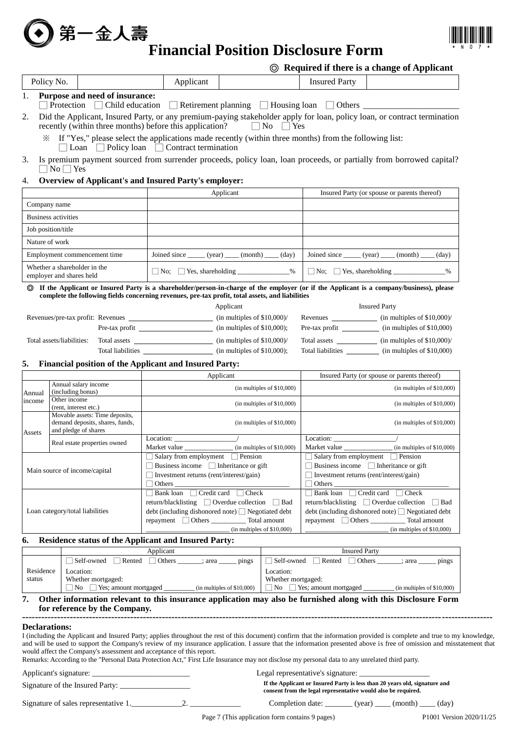# 第一金人壽<br>Financial Position Disclosure Form



## ◎ **Required if there is a change of Applicant**

|                      |                                                                      |                                                                                                                                                                                                                                                                                                                                                  |                                          |                                                                                                     | $\circledcirc$ required if there is a change of Applicant                                         |
|----------------------|----------------------------------------------------------------------|--------------------------------------------------------------------------------------------------------------------------------------------------------------------------------------------------------------------------------------------------------------------------------------------------------------------------------------------------|------------------------------------------|-----------------------------------------------------------------------------------------------------|---------------------------------------------------------------------------------------------------|
| Policy No.           |                                                                      | Applicant                                                                                                                                                                                                                                                                                                                                        |                                          | <b>Insured Party</b>                                                                                |                                                                                                   |
| 1.                   | Purpose and need of insurance:                                       | Protection □ Child education □ Retirement planning □ Housing loan □ Others ____________                                                                                                                                                                                                                                                          |                                          |                                                                                                     |                                                                                                   |
| 2.                   | recently (within three months) before this application?              | Did the Applicant, Insured Party, or any premium-paying stakeholder apply for loan, policy loan, or contract termination                                                                                                                                                                                                                         | $\Box$ No $\Box$ Yes                     |                                                                                                     |                                                                                                   |
|                      |                                                                      | * If "Yes," please select the applications made recently (within three months) from the following list:<br>$\Box$ Loan $\Box$ Policy loan $\Box$ Contract termination                                                                                                                                                                            |                                          |                                                                                                     |                                                                                                   |
| 3.                   | $\Box$ No $\Box$ Yes                                                 | Is premium payment sourced from surrender proceeds, policy loan, loan proceeds, or partially from borrowed capital?                                                                                                                                                                                                                              |                                          |                                                                                                     |                                                                                                   |
| 4.                   |                                                                      | Overview of Applicant's and Insured Party's employer:                                                                                                                                                                                                                                                                                            |                                          |                                                                                                     |                                                                                                   |
|                      |                                                                      | Applicant                                                                                                                                                                                                                                                                                                                                        |                                          |                                                                                                     | Insured Party (or spouse or parents thereof)                                                      |
| Company name         |                                                                      |                                                                                                                                                                                                                                                                                                                                                  |                                          |                                                                                                     |                                                                                                   |
|                      | <b>Business activities</b>                                           |                                                                                                                                                                                                                                                                                                                                                  |                                          |                                                                                                     |                                                                                                   |
| Job position/title   |                                                                      |                                                                                                                                                                                                                                                                                                                                                  |                                          |                                                                                                     |                                                                                                   |
| Nature of work       |                                                                      |                                                                                                                                                                                                                                                                                                                                                  |                                          |                                                                                                     |                                                                                                   |
|                      | Employment commencement time                                         | Joined since $\_\_\_$ (year) $\_\_\_$ (month) $\_\_\_$ (day)                                                                                                                                                                                                                                                                                     |                                          |                                                                                                     | Joined since ______ (year) _____ (month) _____ (day)                                              |
|                      | Whether a shareholder in the<br>employer and shares held             | $\Box$ No; $\Box$ Yes, shareholding _________________%                                                                                                                                                                                                                                                                                           |                                          |                                                                                                     | $\Box$ No; $\Box$ Yes, shareholding _________________%                                            |
| ⊚                    |                                                                      | If the Applicant or Insured Party is a shareholder/person-in-charge of the employer (or if the Applicant is a company/business), please<br>complete the following fields concerning revenues, pre-tax profit, total assets, and liabilities                                                                                                      |                                          |                                                                                                     |                                                                                                   |
|                      |                                                                      | Applicant                                                                                                                                                                                                                                                                                                                                        |                                          |                                                                                                     | <b>Insured Party</b>                                                                              |
|                      |                                                                      |                                                                                                                                                                                                                                                                                                                                                  |                                          |                                                                                                     |                                                                                                   |
|                      |                                                                      |                                                                                                                                                                                                                                                                                                                                                  |                                          |                                                                                                     | Pre-tax profit _______________ (in multiples of \$10,000)                                         |
|                      | Total assets/liabilities:                                            |                                                                                                                                                                                                                                                                                                                                                  |                                          |                                                                                                     | Total assets ______________ (in multiples of \$10,000)/                                           |
|                      |                                                                      |                                                                                                                                                                                                                                                                                                                                                  |                                          |                                                                                                     | Total liabilities _____________ (in multiples of \$10,000)                                        |
| 5.                   |                                                                      | <b>Financial position of the Applicant and Insured Party:</b>                                                                                                                                                                                                                                                                                    |                                          |                                                                                                     |                                                                                                   |
|                      |                                                                      | Applicant                                                                                                                                                                                                                                                                                                                                        |                                          |                                                                                                     | Insured Party (or spouse or parents thereof)                                                      |
| Annual               | Annual salary income<br>(including bonus)                            |                                                                                                                                                                                                                                                                                                                                                  | $(in$ multiples of \$10,000 $)$          |                                                                                                     | $(in$ multiples of \$10,000 $)$                                                                   |
| income               | Other income<br>(rent, interest etc.)                                |                                                                                                                                                                                                                                                                                                                                                  | $(in$ multiples of \$10,000 $)$          |                                                                                                     | $(in$ multiples of \$10,000 $)$                                                                   |
|                      | Movable assets: Time deposits,<br>demand deposits, shares, funds,    |                                                                                                                                                                                                                                                                                                                                                  | $(in$ multiples of \$10,000 $)$          |                                                                                                     | $(in$ multiples of \$10,000 $)$                                                                   |
| Assets               | and pledge of shares                                                 | Location: $\overline{\phantom{a}}$                                                                                                                                                                                                                                                                                                               |                                          | Location:                                                                                           |                                                                                                   |
|                      | Real estate properties owned                                         | Market value                                                                                                                                                                                                                                                                                                                                     | $\frac{1}{2}$ (in multiples of \$10,000) | Market value                                                                                        | (in multiples of \$10,000)                                                                        |
|                      |                                                                      | Salary from employment Pension                                                                                                                                                                                                                                                                                                                   |                                          |                                                                                                     | $\Box$ Salary from employment $\Box$ Pension                                                      |
|                      | Main source of income/capital                                        | $\Box$ Business income $\Box$ Inheritance or gift<br>$\Box$ Investment returns (rent/interest/gain)                                                                                                                                                                                                                                              |                                          | $\Box$ Business income $\Box$ Inheritance or gift<br>$\Box$ Investment returns (rent/interest/gain) |                                                                                                   |
|                      |                                                                      | $\Box$ Others                                                                                                                                                                                                                                                                                                                                    |                                          | $\Box$ Others $\Box$                                                                                |                                                                                                   |
|                      |                                                                      | $\Box$ Bank loan $\Box$ Credit card $\Box$ Check                                                                                                                                                                                                                                                                                                 |                                          | Bank loan Credit card Check                                                                         |                                                                                                   |
|                      |                                                                      | return/blacklisting □ Overdue collection                                                                                                                                                                                                                                                                                                         | Bad                                      |                                                                                                     | return/blacklisting □ Overdue collection □ Bad                                                    |
|                      | Loan category/total liabilities                                      | debt (including dishonored note) □ Negotiated debt<br>repayment Others Total amount                                                                                                                                                                                                                                                              |                                          |                                                                                                     | $\text{debt}$ (including dishonored note) $\Box$ Negotiated debt<br>repayment Others Total amount |
|                      |                                                                      |                                                                                                                                                                                                                                                                                                                                                  | $(in$ multiples of \$10,000)             |                                                                                                     | $(in$ multiples of \$10,000)                                                                      |
| 6.                   |                                                                      | Residence status of the Applicant and Insured Party:                                                                                                                                                                                                                                                                                             |                                          |                                                                                                     |                                                                                                   |
|                      |                                                                      | Applicant                                                                                                                                                                                                                                                                                                                                        |                                          | <b>Insured Party</b>                                                                                |                                                                                                   |
|                      | Self-owned                                                           | Rented Others _____; area _______ pings                                                                                                                                                                                                                                                                                                          |                                          |                                                                                                     | □ Self-owned □ Rented □ Others ______; area _____<br>pings                                        |
| Residence<br>status  | Location:<br>Whether mortgaged:                                      |                                                                                                                                                                                                                                                                                                                                                  | Location:<br>Whether mortgaged:          |                                                                                                     |                                                                                                   |
|                      |                                                                      | No Yes; amount mortgaged (in multiples of \$10,000)<br>No Yes; amount mortgaged (in multiples of \$10,000)                                                                                                                                                                                                                                       |                                          |                                                                                                     |                                                                                                   |
| 7.                   | for reference by the Company.                                        | Other information relevant to this insurance application may also be furnished along with this Disclosure Form                                                                                                                                                                                                                                   |                                          |                                                                                                     |                                                                                                   |
|                      |                                                                      |                                                                                                                                                                                                                                                                                                                                                  |                                          |                                                                                                     |                                                                                                   |
| <b>Declarations:</b> |                                                                      |                                                                                                                                                                                                                                                                                                                                                  |                                          |                                                                                                     |                                                                                                   |
|                      |                                                                      | I (including the Applicant and Insured Party; applies throughout the rest of this document) confirm that the information provided is complete and true to my knowledge,<br>and will be used to support the Company's review of my insurance application. I assure that the information presented above is free of omission and misstatement that |                                          |                                                                                                     |                                                                                                   |
|                      | would affect the Company's assessment and acceptance of this report. |                                                                                                                                                                                                                                                                                                                                                  |                                          |                                                                                                     |                                                                                                   |
|                      |                                                                      | Remarks: According to the "Personal Data Protection Act," First Life Insurance may not disclose my personal data to any unrelated third party.                                                                                                                                                                                                   |                                          |                                                                                                     |                                                                                                   |

Signature of the Insured Party: \_\_\_\_\_\_\_\_\_\_\_\_\_\_\_\_\_\_

Applicant's signature: \_\_\_\_\_\_\_\_\_\_\_\_\_\_\_\_\_\_\_\_\_\_\_\_\_ Legal representative's signature: \_\_\_\_\_\_\_\_\_\_\_\_\_\_\_\_\_\_

**If the Applicant or Insured Party is less than 20 years old, signature and consent from the legal representative would also be required.**

Signature of sales representative 1.\_\_\_\_\_\_\_\_\_\_\_\_\_2. \_\_\_\_\_\_\_\_\_\_\_\_\_ Completion date: \_\_\_\_\_\_\_ (year) \_\_\_\_ (month) \_\_\_\_ (day)

Page 7 (This application form contains 9 pages) P1001 Version 2020/11/25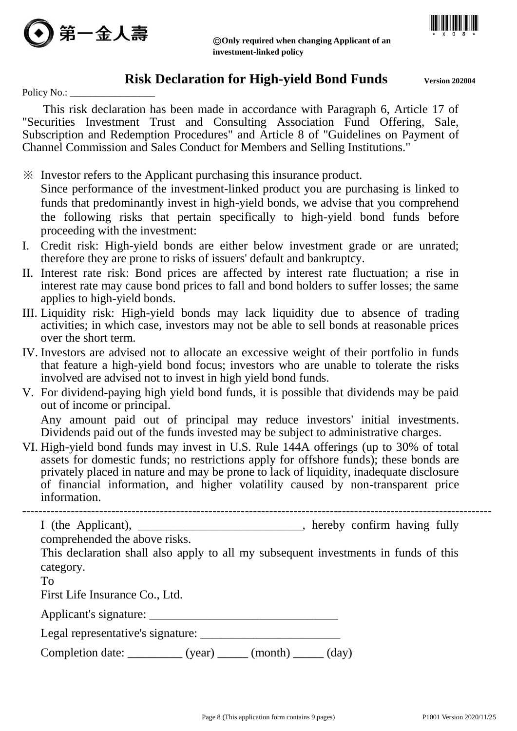



◎**Only required when changing Applicant of an investment-linked policy**

# **Risk Declaration for High-yield Bond Funds** Version 202004

Policy No.:

This risk declaration has been made in accordance with Paragraph 6, Article 17 of "Securities Investment Trust and Consulting Association Fund Offering, Sale, Subscription and Redemption Procedures" and Article 8 of "Guidelines on Payment of Channel Commission and Sales Conduct for Members and Selling Institutions."

- ※ Investor refers to the Applicant purchasing this insurance product. Since performance of the investment-linked product you are purchasing is linked to funds that predominantly invest in high-yield bonds, we advise that you comprehend the following risks that pertain specifically to high-yield bond funds before proceeding with the investment:
- I. Credit risk: High-yield bonds are either below investment grade or are unrated; therefore they are prone to risks of issuers' default and bankruptcy.
- II. Interest rate risk: Bond prices are affected by interest rate fluctuation; a rise in interest rate may cause bond prices to fall and bond holders to suffer losses; the same applies to high-yield bonds.
- III. Liquidity risk: High-yield bonds may lack liquidity due to absence of trading activities; in which case, investors may not be able to sell bonds at reasonable prices over the short term.
- IV. Investors are advised not to allocate an excessive weight of their portfolio in funds that feature a high-yield bond focus; investors who are unable to tolerate the risks involved are advised not to invest in high yield bond funds.
- V. For dividend-paying high yield bond funds, it is possible that dividends may be paid out of income or principal.

Any amount paid out of principal may reduce investors' initial investments. Dividends paid out of the funds invested may be subject to administrative charges.

VI. High-yield bond funds may invest in U.S. Rule 144A offerings (up to 30% of total assets for domestic funds; no restrictions apply for offshore funds); these bonds are privately placed in nature and may be prone to lack of liquidity, inadequate disclosure of financial information, and higher volatility caused by non-transparent price information.

-------------------------------------------------------------------------------------------------------------------- I (the Applicant), \_\_\_\_\_\_\_\_\_\_\_\_\_\_\_\_\_\_\_\_\_\_\_\_\_\_, hereby confirm having fully comprehended the above risks.

This declaration shall also apply to all my subsequent investments in funds of this category.

To

First Life Insurance Co., Ltd.

Applicant's signature:

| Legal representative's signature: |  |
|-----------------------------------|--|
|                                   |  |

Completion date:  $(year)$   $(month)$   $(day)$